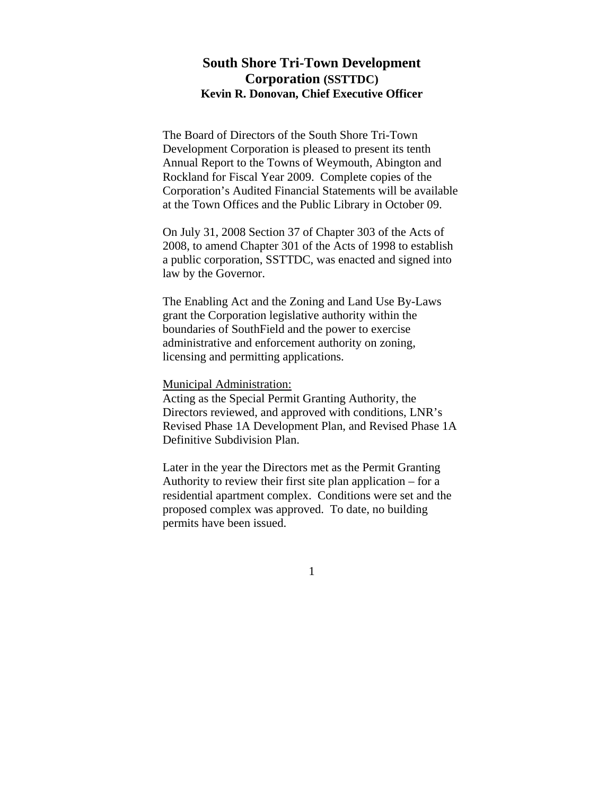# **South Shore Tri-Town Development Corporation (SSTTDC) Kevin R. Donovan, Chief Executive Officer**

The Board of Directors of the South Shore Tri-Town Development Corporation is pleased to present its tenth Annual Report to the Towns of Weymouth, Abington and Rockland for Fiscal Year 2009. Complete copies of the Corporation's Audited Financial Statements will be available at the Town Offices and the Public Library in October 09.

On July 31, 2008 Section 37 of Chapter 303 of the Acts of 2008, to amend Chapter 301 of the Acts of 1998 to establish a public corporation, SSTTDC, was enacted and signed into law by the Governor.

The Enabling Act and the Zoning and Land Use By-Laws grant the Corporation legislative authority within the boundaries of SouthField and the power to exercise administrative and enforcement authority on zoning, licensing and permitting applications.

#### Municipal Administration:

Acting as the Special Permit Granting Authority, the Directors reviewed, and approved with conditions, LNR's Revised Phase 1A Development Plan, and Revised Phase 1A Definitive Subdivision Plan.

Later in the year the Directors met as the Permit Granting Authority to review their first site plan application – for a residential apartment complex. Conditions were set and the proposed complex was approved. To date, no building permits have been issued.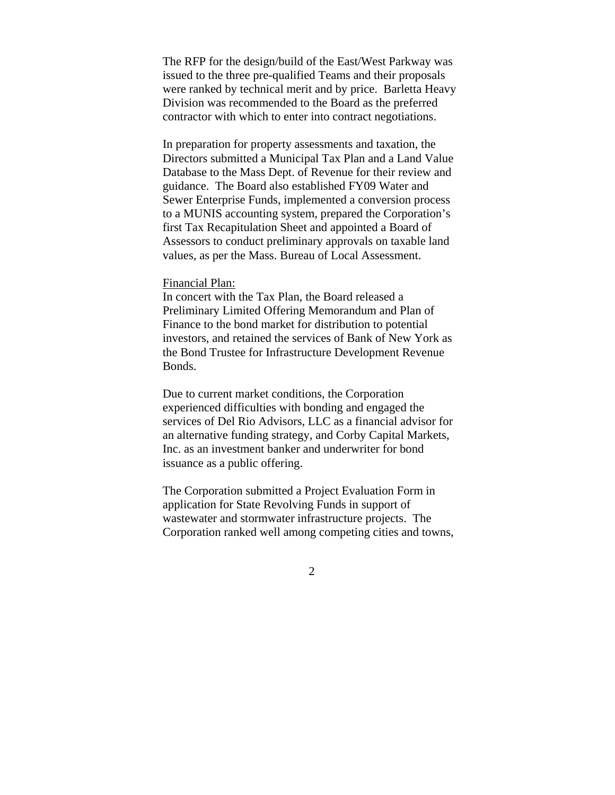The RFP for the design/build of the East/West Parkway was issued to the three pre-qualified Teams and their proposals were ranked by technical merit and by price. Barletta Heavy Division was recommended to the Board as the preferred contractor with which to enter into contract negotiations.

In preparation for property assessments and taxation, the Directors submitted a Municipal Tax Plan and a Land Value Database to the Mass Dept. of Revenue for their review and guidance. The Board also established FY09 Water and Sewer Enterprise Funds, implemented a conversion process to a MUNIS accounting system, prepared the Corporation's first Tax Recapitulation Sheet and appointed a Board of Assessors to conduct preliminary approvals on taxable land values, as per the Mass. Bureau of Local Assessment.

#### Financial Plan:

In concert with the Tax Plan, the Board released a Preliminary Limited Offering Memorandum and Plan of Finance to the bond market for distribution to potential investors, and retained the services of Bank of New York as the Bond Trustee for Infrastructure Development Revenue Bonds.

Due to current market conditions, the Corporation experienced difficulties with bonding and engaged the services of Del Rio Advisors, LLC as a financial advisor for an alternative funding strategy, and Corby Capital Markets, Inc. as an investment banker and underwriter for bond issuance as a public offering.

The Corporation submitted a Project Evaluation Form in application for State Revolving Funds in support of wastewater and stormwater infrastructure projects. The Corporation ranked well among competing cities and towns,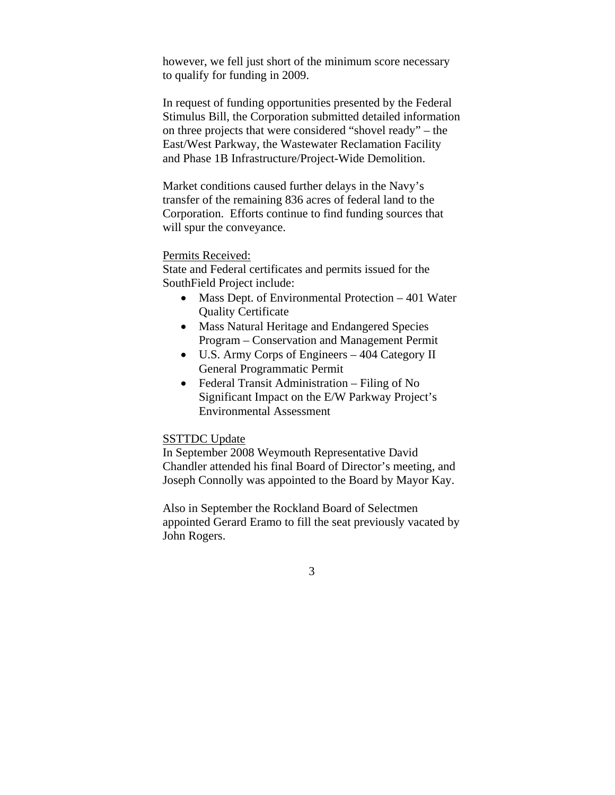however, we fell just short of the minimum score necessary to qualify for funding in 2009.

In request of funding opportunities presented by the Federal Stimulus Bill, the Corporation submitted detailed information on three projects that were considered "shovel ready" – the East/West Parkway, the Wastewater Reclamation Facility and Phase 1B Infrastructure/Project-Wide Demolition.

Market conditions caused further delays in the Navy's transfer of the remaining 836 acres of federal land to the Corporation. Efforts continue to find funding sources that will spur the conveyance.

### Permits Received:

State and Federal certificates and permits issued for the SouthField Project include:

- Mass Dept. of Environmental Protection 401 Water Quality Certificate
- Mass Natural Heritage and Endangered Species Program – Conservation and Management Permit
- U.S. Army Corps of Engineers 404 Category II General Programmatic Permit
- Federal Transit Administration Filing of No Significant Impact on the E/W Parkway Project's Environmental Assessment

## SSTTDC Update

In September 2008 Weymouth Representative David Chandler attended his final Board of Director's meeting, and Joseph Connolly was appointed to the Board by Mayor Kay.

Also in September the Rockland Board of Selectmen appointed Gerard Eramo to fill the seat previously vacated by John Rogers.